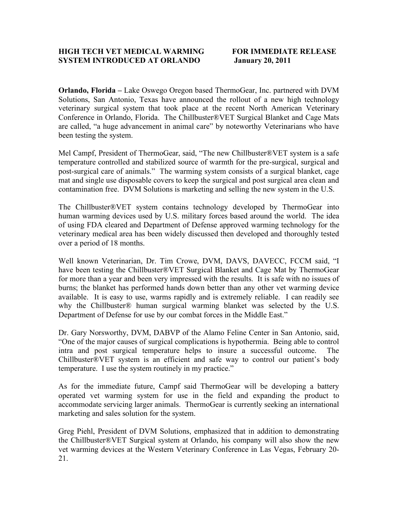## **HIGH TECH VET MEDICAL WARMING FOR IMMEDIATE RELEASE SYSTEM INTRODUCED AT ORLANDO January 20, 2011**

**Orlando, Florida –** Lake Oswego Oregon based ThermoGear, Inc. partnered with DVM Solutions, San Antonio, Texas have announced the rollout of a new high technology veterinary surgical system that took place at the recent North American Veterinary Conference in Orlando, Florida. The Chillbuster®VET Surgical Blanket and Cage Mats are called, "a huge advancement in animal care" by noteworthy Veterinarians who have been testing the system.

Mel Campf, President of ThermoGear, said, "The new Chillbuster®VET system is a safe temperature controlled and stabilized source of warmth for the pre-surgical, surgical and post-surgical care of animals." The warming system consists of a surgical blanket, cage mat and single use disposable covers to keep the surgical and post surgical area clean and contamination free. DVM Solutions is marketing and selling the new system in the U.S.

The Chillbuster®VET system contains technology developed by ThermoGear into human warming devices used by U.S. military forces based around the world. The idea of using FDA cleared and Department of Defense approved warming technology for the veterinary medical area has been widely discussed then developed and thoroughly tested over a period of 18 months.

Well known Veterinarian, Dr. Tim Crowe, DVM, DAVS, DAVECC, FCCM said, "I have been testing the Chillbuster®VET Surgical Blanket and Cage Mat by ThermoGear for more than a year and been very impressed with the results. It is safe with no issues of burns; the blanket has performed hands down better than any other vet warming device available. It is easy to use, warms rapidly and is extremely reliable. I can readily see why the Chillbuster® human surgical warming blanket was selected by the U.S. Department of Defense for use by our combat forces in the Middle East."

Dr. Gary Norsworthy, DVM, DABVP of the Alamo Feline Center in San Antonio, said, "One of the major causes of surgical complications is hypothermia. Being able to control intra and post surgical temperature helps to insure a successful outcome. The Chillbuster®VET system is an efficient and safe way to control our patient's body temperature. I use the system routinely in my practice."

As for the immediate future, Campf said ThermoGear will be developing a battery operated vet warming system for use in the field and expanding the product to accommodate servicing larger animals. ThermoGear is currently seeking an international marketing and sales solution for the system.

Greg Piehl, President of DVM Solutions, emphasized that in addition to demonstrating the Chillbuster®VET Surgical system at Orlando, his company will also show the new vet warming devices at the Western Veterinary Conference in Las Vegas, February 20- 21.